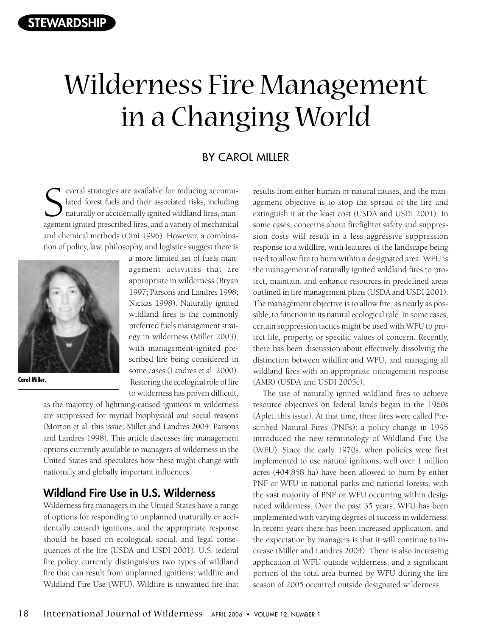# Wilderness Fire Management in a Changing World

## BY CAROL MILLER

S<br>
S<br>
S<br>
are available for reducing accumulated forest fuels and their associated risks, including<br>
naturally or accidentally ignited wildland fires, management ignited prescribed fires, and a variety of mechanical everal strategies are available for reducing accumulated forest fuels and their associated risks, including naturally or accidentally ignited wildland fires, manand chemical methods (Omi 1996). However, a combination of policy, law, philosophy, and logistics suggest there is



**Carol Miller.** 

a more limited set of fuels management activities that are appropriate in wilderness (Bryan 1997; Parsons and Landres 1998; Nickas 1998). Naturally ignited wildland fires is the commonly preferred fuels management strategy in wilderness (Miller 2003), with management-ignited prescribed fire being considered in some cases (Landres et al. 2000). Restoring the ecological role of fire to wilderness has proven difficult,

as the majority of lightning-caused ignitions in wilderness are suppressed for myriad biophysical and social reasons (Morton et al. this issue; Miller and Landres 2004; Parsons and Landres 1998). This article discusses fire management options currently available to managers of wilderness in the United States and speculates how these might change with nationally and globally important influences.

# **Wildland Fire Use in U.S. Wilderness**

Wilderness fire managers in the United States have a range of options for responding to unplanned (naturally or accidentally caused) ignitions, and the appropriate response should be based on ecological, social, and legal consequences of the fire (USDA and USDI 2001). U.S. federal fire policy currently distinguishes two types of wildland fire that can result from unplanned ignitions: wildfire and Wildland Fire Use (WFU). Wildfire is unwanted fire that

results from either human or natural causes, and the management objective is to stop the spread of the fire and extinguish it at the least cost (USDA and USDI 2001). In some cases, concerns about firefighter safety and suppression costs will result in a less aggressive suppression response to a wildfire, with features of the landscape being used to allow fire to burn within a designated area. WFU is the management of naturally ignited wildland fires to protect, maintain, and enhance resources in predefined areas outlined in fire management plans (USDA and USDI 2001). The management objective is to allow fire, as nearly as possible, to function in its natural ecological role. In some cases, certain suppression tactics might be used with WFU to protect life, property, or specific values of concern. Recently, there has been discussion about effectively dissolving the distinction between wildfire and WFU, and managing all wildland fires with an appropriate management response (AMR) (USDA and USDI 2005c).

The use of naturally ignited wildland fires to achieve resource objectives on federal lands began in the 1960s (Aplet, this issue). At that time, these fires were called Prescribed Natural Fires (PNFs); a policy change in 1995 introduced the new terminology of Wildland Fire Use (WFU). Since the early 1970s, when policies were first implemented to use natural ignitions, well over 1 million acres (404,858 ha) have been allowed to burn by either PNF or WFU in national parks and national forests, with the vast majority of PNF or WFU occurring within designated wilderness. Over the past 35 years, WFU has been implemented with varying degrees of success in wilderness. In recent years there has been increased application, and the expectation by managers is that it will continue to increase (Miller and Landres 2004). There is also increasing application of WFU outside wilderness, and a significant portion of the total area burned by WFU during the fire season of 2005 occurred outside designated wilderness.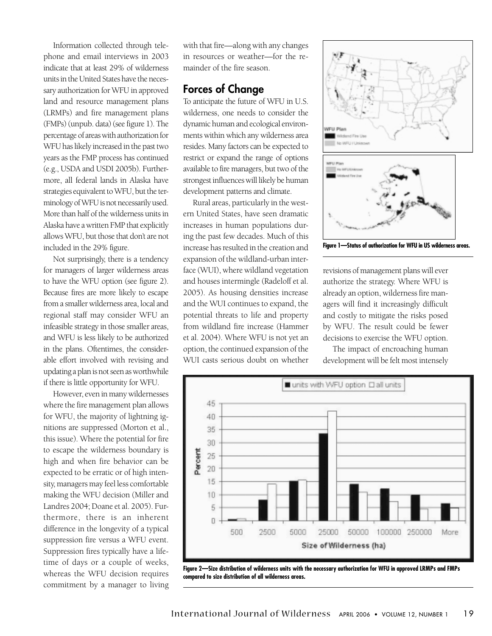Information collected through telephone and email interviews in 2003 indicate that at least 29% of wilderness units in the United States have the necessary authorization for WFU in approved land and resource management plans (LRMPs) and fire management plans (FMPs) (unpub. data) (see figure 1). The percentage of areas with authorization for WFU has likely increased in the past two years as the FMP process has continued (e.g., USDA and USDI 2005b). Furthermore, all federal lands in Alaska have strategies equivalent to WFU, but the terminology of WFU is not necessarily used. More than half of the wilderness units in Alaska have a written FMP that explicitly allows WFU, but those that don't are not included in the 29% figure.

Not surprisingly, there is a tendency for managers of larger wilderness areas to have the WFU option (see figure 2). Because fires are more likely to escape from a smaller wilderness area, local and regional staff may consider WFU an infeasible strategy in those smaller areas, and WFU is less likely to be authorized in the plans. Oftentimes, the considerable effort involved with revising and updating a plan is not seen as worthwhile if there is little opportunity for WFU.

However, even in many wildernesses where the fire management plan allows for WFU, the majority of lightning ignitions are suppressed (Morton et al., this issue). Where the potential for fire to escape the wilderness boundary is high and when fire behavior can be expected to be erratic or of high intensity, managers may feel less comfortable making the WFU decision (Miller and Landres 2004; Doane et al. 2005). Furthermore, there is an inherent difference in the longevity of a typical suppression fire versus a WFU event. Suppression fires typically have a lifetime of days or a couple of weeks, whereas the WFU decision requires commitment by a manager to living

with that fire—along with any changes in resources or weather—for the remainder of the fire season.

# **Forces of Change**

To anticipate the future of WFU in U.S. wilderness, one needs to consider the dynamic human and ecological environments within which any wilderness area resides. Many factors can be expected to restrict or expand the range of options available to fire managers, but two of the strongest influences will likely be human development patterns and climate.

Rural areas, particularly in the western United States, have seen dramatic increases in human populations during the past few decades. Much of this increase has resulted in the creation and expansion of the wildland-urban interface (WUI), where wildland vegetation and houses intermingle (Radeloff et al. 2005). As housing densities increase and the WUI continues to expand, the potential threats to life and property from wildland fire increase (Hammer et al. 2004). Where WFU is not yet an option, the continued expansion of the WUI casts serious doubt on whether





revisions of management plans will ever authorize the strategy. Where WFU is already an option, wilderness fire managers will find it increasingly difficult and costly to mitigate the risks posed by WFU. The result could be fewer decisions to exercise the WFU option.

The impact of encroaching human development will be felt most intensely



**Figure 2—Size distribution of wilderness units with the necessary authorization for WFU in approved LRMPs and FMPs compared to size distribution of all wilderness areas.**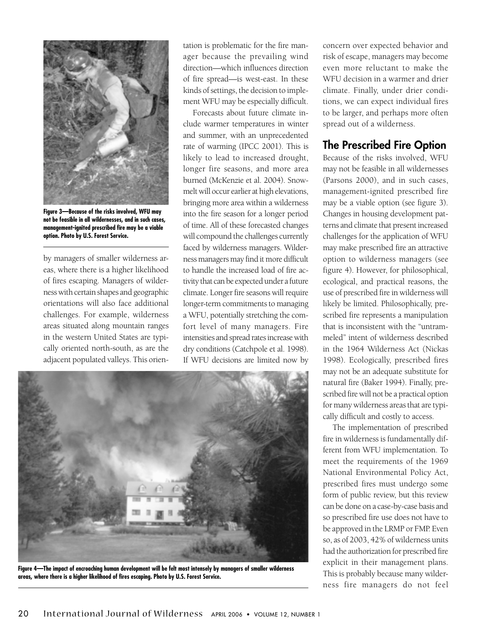

**Figure 3—Because of the risks involved, WFU may not be feasible in all wildernesses, and in such cases, management-ignited prescribed fire may be a viable option. Photo by U.S. Forest Service.** 

by managers of smaller wilderness areas, where there is a higher likelihood of fires escaping. Managers of wilderness with certain shapes and geographic orientations will also face additional challenges. For example, wilderness areas situated along mountain ranges in the western United States are typically oriented north-south, as are the adjacent populated valleys. This orien-

tation is problematic for the fire manager because the prevailing wind direction—which influences direction of fire spread—is west-east. In these kinds of settings, the decision to implement WFU may be especially difficult.

Forecasts about future climate include warmer temperatures in winter and summer, with an unprecedented rate of warming (IPCC 2001). This is likely to lead to increased drought, longer fire seasons, and more area burned (McKenzie et al. 2004). Snowmelt will occur earlier at high elevations, bringing more area within a wilderness into the fire season for a longer period of time. All of these forecasted changes will compound the challenges currently faced by wilderness managers. Wilderness managers may find it more difficult to handle the increased load of fire activity that can be expected under a future climate. Longer fire seasons will require longer-term commitments to managing a WFU, potentially stretching the comfort level of many managers. Fire intensities and spread rates increase with dry conditions (Catchpole et al. 1998). If WFU decisions are limited now by



**Figure 4—The impact of encroaching human development will be felt most intensely by managers of smaller wilderness areas, where there is a higher likelihood of fires escaping. Photo by U.S. Forest Service.** 

concern over expected behavior and risk of escape, managers may become even more reluctant to make the WFU decision in a warmer and drier climate. Finally, under drier conditions, we can expect individual fires to be larger, and perhaps more often spread out of a wilderness.

# **The Prescribed Fire Option**

Because of the risks involved, WFU may not be feasible in all wildernesses (Parsons 2000), and in such cases, management-ignited prescribed fire may be a viable option (see figure 3). Changes in housing development patterns and climate that present increased challenges for the application of WFU may make prescribed fire an attractive option to wilderness managers (see figure 4). However, for philosophical, ecological, and practical reasons, the use of prescribed fire in wilderness will likely be limited. Philosophically, prescribed fire represents a manipulation that is inconsistent with the "untrammeled" intent of wilderness described in the 1964 Wilderness Act (Nickas 1998). Ecologically, prescribed fires may not be an adequate substitute for natural fire (Baker 1994). Finally, prescribed fire will not be a practical option for many wilderness areas that are typically difficult and costly to access.

The implementation of prescribed fire in wilderness is fundamentally different from WFU implementation. To meet the requirements of the 1969 National Environmental Policy Act, prescribed fires must undergo some form of public review, but this review can be done on a case-by-case basis and so prescribed fire use does not have to be approved in the LRMP or FMP. Even so, as of 2003, 42% of wilderness units had the authorization for prescribed fire explicit in their management plans. This is probably because many wilderness fire managers do not feel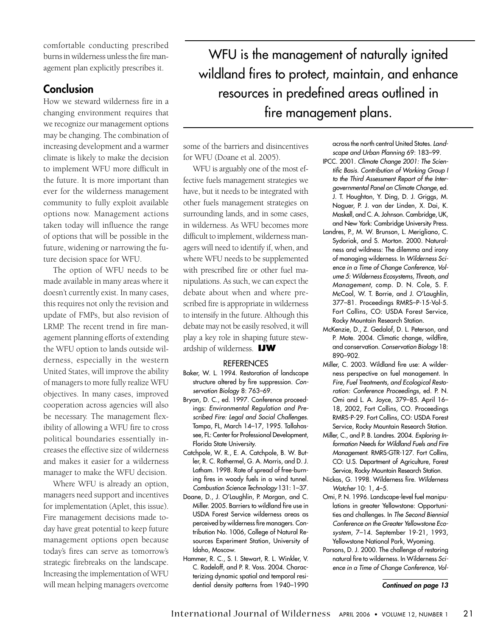comfortable conducting prescribed burns in wilderness unless the fire management plan explicitly prescribes it.

## **Conclusion**

How we steward wilderness fire in a changing environment requires that we recognize our management options may be changing. The combination of increasing development and a warmer climate is likely to make the decision to implement WFU more difficult in the future. It is more important than ever for the wilderness management community to fully exploit available options now. Management actions taken today will influence the range of options that will be possible in the future, widening or narrowing the future decision space for WFU.

The option of WFU needs to be made available in many areas where it doesn't currently exist. In many cases, this requires not only the revision and update of FMPs, but also revision of LRMP. The recent trend in fire management planning efforts of extending the WFU option to lands outside wilderness, especially in the western United States, will improve the ability of managers to more fully realize WFU objectives. In many cases, improved cooperation across agencies will also be necessary. The management flexibility of allowing a WFU fire to cross political boundaries essentially increases the effective size of wilderness and makes it easier for a wilderness manager to make the WFU decision.

Where WFU is already an option, managers need support and incentives for implementation (Aplet, this issue). Fire management decisions made today have great potential to keep future management options open because today's fires can serve as tomorrow's strategic firebreaks on the landscape. Increasing the implementation of WFU will mean helping managers overcome

WFU is the management of naturally ignited wildland fires to protect, maintain, and enhance resources in predefined areas outlined in fire management plans.

some of the barriers and disincentives for WFU (Doane et al. 2005).

WFU is arguably one of the most effective fuels management strategies we have, but it needs to be integrated with other fuels management strategies on surrounding lands, and in some cases, in wilderness. As WFU becomes more difficult to implement, wilderness managers will need to identify if, when, and where WFU needs to be supplemented with prescribed fire or other fuel manipulations. As such, we can expect the debate about when and where prescribed fire is appropriate in wilderness to intensify in the future. Although this debate may not be easily resolved, it will play a key role in shaping future stewardship of wilderness. **IJW** 

### **REFERENCES**

- Baker, W. L. 1994. Restoration of landscape structure altered by fire suppression. Conservation Biology 8: 763–69.
- Bryan, D. C., ed. 1997. Conference proceedings: Environmental Regulation and Prescribed Fire: Legal and Social Challenges. Tampa, FL, March 14–17, 1995. Tallahassee, FL: Center for Professional Development, Florida State University.
- Catchpole, W. R., E. A. Catchpole, B. W. Butler, R. C. Rothermel, G. A. Morris, and D. J. Latham. 1998. Rate of spread of free-burning fires in woody fuels in a wind tunnel. Combustion Science Technology 131: 1–37.
- Doane, D., J. O'Laughlin, P. Morgan, and C. Miller. 2005. Barriers to wildland fire use in USDA Forest Service wilderness areas as perceived by wilderness fire managers. Contribution No. 1006, College of Natural Resources Experiment Station, University of Idaho, Moscow.
- Hammer, R. C., S. I. Stewart, R. L. Winkler, V. C. Radeloff, and P. R. Voss. 2004. Characterizing dynamic spatial and temporal residential density patterns from 1940–1990

across the north central United States. Landscape and Urban Planning 69: 183–99.

- IPCC. 2001. Climate Change 2001: The Scientific Basis. Contribution of Working Group I to the Third Assessment Report of the Intergovernmental Panel on Climate Change, ed. J. T. Houghton, Y. Ding, D. J. Griggs, M. Noguer, P. J. van der Linden, X. Dai, K. Maskell, and C. A. Johnson. Cambridge, UK, and New York: Cambridge University Press.
- Landres, P., M. W. Brunson, L. Merigliano, C. Sydoriak, and S. Morton. 2000. Naturalness and wildness: The dilemma and irony of managing wilderness. In Wilderness Science in a Time of Change Conference, Volume 5: Wilderness Ecosystems, Threats, and Management, comp. D. N. Cole, S. F. McCool, W. T. Borrie, and J. O'Laughlin, 377–81. Proceedings RMRS–P-15-Vol-5. Fort Collins, CO: USDA Forest Service, Rocky Mountain Research Station.
- McKenzie, D., Z. Gedalof, D. L. Peterson, and P. Mote. 2004. Climatic change, wildfire, and conservation. Conservation Biology 18: 890–902.
- Miller, C. 2003. Wildland fire use: A wilderness perspective on fuel management. In Fire, Fuel Treatments, and Ecological Restoration: Conference Proceedings, ed. P. N. Omi and L. A. Joyce, 379–85. April 16– 18, 2002, Fort Collins, CO. Proceedings RMRS-P-29. Fort Collins, CO: USDA Forest Service, Rocky Mountain Research Station.
- Miller, C., and P. B. Landres. 2004. Exploring Information Needs for Wildland Fuels and Fire Management. RMRS-GTR-127. Fort Collins, CO: U.S. Department of Agriculture, Forest Service, Rocky Mountain Research Station.
- Nickas, G. 1998. Wilderness fire. Wilderness Watcher 10: 1, 4–5.
- Omi, P. N. 1996. Landscape-level fuel manipulations in greater Yellowstone: Opportunities and challenges. In The Second Biennial Conference on the Greater Yellowstone Ecosystem, 7–14. September 19-21, 1993, Yellowstone National Park, Wyoming.
- Parsons, D. J. 2000. The challenge of restoring natural fire to wilderness. In Wilderness Science in a Time of Change Conference, Vol-

**Continued on page 13**